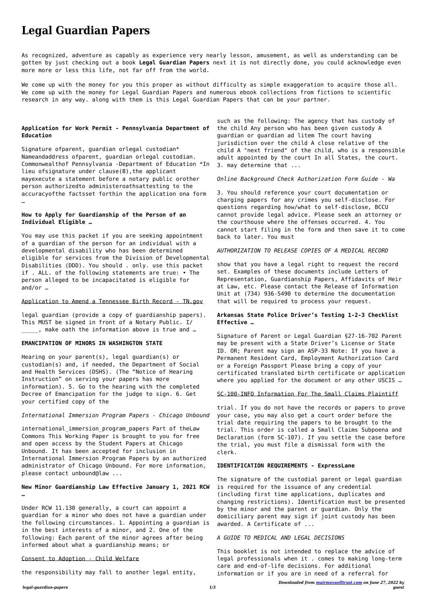*legal-guardian-papers 1/3*

*Downloaded from [muirmaxwelltrust.com](https://muirmaxwelltrust.com) on June 27, 2022 by guest*

# **Legal Guardian Papers**

As recognized, adventure as capably as experience very nearly lesson, amusement, as well as understanding can be gotten by just checking out a book **Legal Guardian Papers** next it is not directly done, you could acknowledge even more more or less this life, not far off from the world.

We come up with the money for you this proper as without difficulty as simple exaggeration to acquire those all. We come up with the money for Legal Guardian Papers and numerous ebook collections from fictions to scientific research in any way. along with them is this Legal Guardian Papers that can be your partner.

## **Application for Work Permit - Pennsylvania Department of Education**

Signature ofparent, guardian orlegal custodian\* Nameandaddress ofparent, guardian orlegal custodian. Commonwealthof Pennsylvania ‐Department of Education \*In lieu ofsignature under clause(B),the applicant mayexecute a statement before a notary public orother person authorizedto administeroathsattesting to the accuracyofthe factsset forthin the application ona form …

## **How to Apply for Guardianship of the Person of an Individual Eligible …**

international immersion program papers Part of theLaw Commons This Working Paper is brought to you for free and open access by the Student Papers at Chicago Unbound. It has been accepted for inclusion in International Immersion Program Papers by an authorized administrator of Chicago Unbound. For more information, please contact unbound@law ...

You may use this packet if you are seeking appointment of a guardian of the person for an individual with a developmental disability who has been determined eligible for services from the Division of Developmental Disabilities (DDD). You should . only. use this packet if . ALL. of the following statements are true: • The person alleged to be incapacitated is eligible for and/or …

#### Application to Amend a Tennessee Birth Record - TN.gov

legal guardian (provide a copy of guardianship papers). This MUST be signed in front of a Notary Public. I/ \_\_\_\_\_, make oath the information above is true and …

## **EMANCIPATION OF MINORS IN WASHINGTON STATE**

Hearing on your parent(s), legal guardian(s) or custodian(s) and, if needed, the Department of Social and Health Services (DSHS). (The "Notice of Hearing Instruction" on serving your papers has more information). 5. Go to the hearing with the completed Decree of Emancipation for the judge to sign. 6. Get your certified copy of the

Signature of Parent or Legal Guardian §27-16-702 Parent may be present with a State Driver's License or State ID. OR; Parent may sign an ASP-33 Note: If you have a Permanent Resident Card, Employment Authorization Card or a Foreign Passport Please bring a copy of your certificated translated birth certificate or application where you applied for the document or any other USCIS ...

## *International Immersion Program Papers - Chicago Unbound*

**New Minor Guardianship Law Effective January 1, 2021 RCW**

**…**

Under RCW 11.130 generally, a court can appoint a guardian for a minor who does not have a guardian under the following circumstances. 1. Appointing a guardian is in the best interests of a minor, and 2. One of the following: Each parent of the minor agrees after being informed about what a guardianship means; or

## Consent to Adoption - Child Welfare

the responsibility may fall to another legal entity,

such as the following: The agency that has custody of the child Any person who has been given custody A guardian or guardian ad litem The court having jurisdiction over the child A close relative of the child A "next friend" of the child, who is a responsible adult appointed by the court In all States, the court. 3. may determine that ...

## *Online Background Check Authorization Form Guide - Wa*

3. You should reference your court documentation or charging papers for any crimes you self-disclose. For questions regarding how/what to self-disclose, BCCU cannot provide legal advice. Please seek an attorney or the courthouse where the offenses occurred. 4. You cannot start filing in the form and then save it to come back to later. You must

## *AUTHORIZATION TO RELEASE COPIES OF A MEDICAL RECORD*

show that you have a legal right to request the record set. Examples of these documents include Letters of Representation, Guardianship Papers, Affidavits of Heir at Law, etc. Please contact the Release of Information Unit at (734) 936-5490 to determine the documentation that will be required to process your request.

## **Arkansas State Police Driver's Testing 1-2-3 Checklist Effective …**

## SC-100-INFO Information For The Small Claims Plaintiff

trial. If you do not have the records or papers to prove your case, you may also get a court order before the trial date requiring the papers to be brought to the trial. This order is called a Small Claims Subpoena and Declaration (form SC-107). If you settle the case before the trial, you must file a dismissal form with the clerk.

# **IDENTIFICATION REQUIREMENTS - ExpressLane**

The signature of the custodial parent or legal guardian is required for the issuance of any credential (including first time applications, duplicates and changing restrictions). Identification must be presented by the minor and the parent or guardian. Only the domiciliary parent may sign if joint custody has been awarded. A Certificate of ...

## *A GUIDE TO MEDICAL AND LEGAL DECISIONS*

This booklet is not intended to replace the advice of legal professionals when it . comes to making long-term care and end-of-life decisions. For additional information or if you are in need of a referral for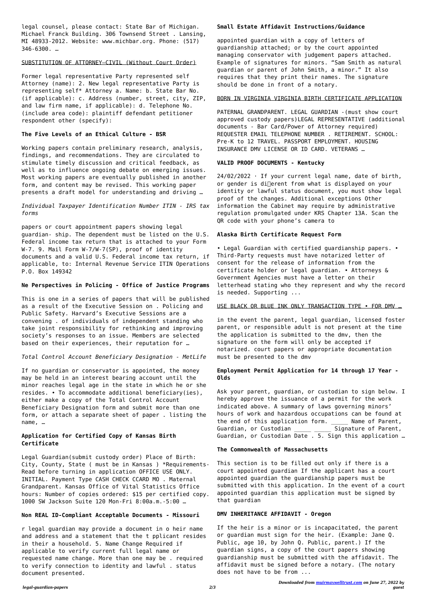*Downloaded from [muirmaxwelltrust.com](https://muirmaxwelltrust.com) on June 27, 2022 by guest*

legal counsel, please contact: State Bar of Michigan. Michael Franck Building. 306 Townsend Street . Lansing, MI 48933-2012. Website: www.michbar.org. Phone: (517) 346-6300. …

#### SUBSTITUTION OF ATTORNEY—CIVIL (Without Court Order)

Former legal representative Party represented self Attorney (name): 2. New legal representative Party is representing self\* Attorney a. Name: b. State Bar No. (if applicable): c. Address (number, street, city, ZIP, and law firm name, if applicable): d. Telephone No. (include area code): plaintiff defendant petitioner respondent other (specify):

#### **The Five Levels of an Ethical Culture - BSR**

Working papers contain preliminary research, analysis, findings, and recommendations. They are circulated to stimulate timely discussion and critical feedback, as well as to influence ongoing debate on emerging issues. Most working papers are eventually published in another form, and content may be revised. This working paper presents a draft model for understanding and driving …

*Individual Taxpayer Identification Number ITIN - IRS tax forms*

papers or court appointment papers showing legal guardian- ship. The dependent must be listed on the U.S. Federal income tax return that is attached to your Form W-7. 9. Mail Form W-7/W-7(SP), proof of identity documents and a valid U.S. Federal income tax return, if applicable, to: Internal Revenue Service ITIN Operations P.O. Box 149342

## **Ne Perspectives in Policing - Office of Justice Programs**

This is one in a series of papers that will be published as a result of the Executive Session on . Policing and Public Safety. Harvard's Executive Sessions are a convening . of individuals of independent standing who take joint responsibility for rethinking and improving society's responses to an issue. Members are selected based on their experiences, their reputation for …

#### *Total Control Account Beneficiary Designation - MetLife*

 $24/02/2022$  · If your current legal name, date of birth, or gender is di<a>[different from what is displayed on your identity or lawful status document, you must show legal proof of the changes. Additional exceptions Other information the Cabinet may require by administrative regulation promulgated under KRS Chapter 13A. Scan the QR code with your phone's camera to

If no guardian or conservator is appointed, the money may be held in an interest bearing account until the minor reaches legal age in the state in which he or she resides. • To accommodate additional beneficiary(ies), either make a copy of the Total Control Account Beneficiary Designation form and submit more than one form, or attach a separate sheet of paper . listing the name, …

## **Application for Certified Copy of Kansas Birth Certificate**

Legal Guardian(submit custody order) Place of Birth: City, County, State ( must be in Kansas ) \*Requirements-Read before turning in application OFFICE USE ONLY. INITIAL. Payment Type CASH CHECK CCARD MO . Maternal Grandparent. Kansas Office of Vital Statistics Office hours: Number of copies ordered: \$15 per certified copy. 1000 SW Jackson Suite 120 Mon-Fri 8:00a.m.-5:00 …

## **Non REAL ID-Compliant Acceptable Documents - Missouri**

r legal guardian may provide a document in o heir name and address and a statement that the t pplicant resides in their a household. 5. Name Change Required if applicable to verify current full legal name or requested name change. More than one may be . required to verify connection to identity and lawful . status document presented.

#### **Small Estate Affidavit Instructions/Guidance**

appointed guardian with a copy of letters of guardianship attached; or by the court appointed managing conservator with judgement papers attached. Example of signatures for minors. "Sam Smith as natural guardian or parent of John Smith, a minor." It also requires that they print their names. The signature should be done in front of a notary.

#### BORN IN VIRGINIA VIRGINIA BIRTH CERTIFICATE APPLICATION

PATERNAL GRANDPARENT. LEGAL GUARDIAN -(must show court approved custody papers)LEGAL REPRESENTATIVE (additional documents - Bar Card/Power of Attorney required) REQUESTER EMAIL TELEPHONE NUMBER . RETIREMENT. SCHOOL: Pre-K to 12 TRAVEL. PASSPORT EMPLOYMENT. HOUSING INSURANCE DMV LICENSE OR ID CARD. VETERANS …

#### **VALID PROOF DOCUMENTS - Kentucky**

## **Alaska Birth Certificate Request Form**

• Legal Guardian with certified guardianship papers. • Third-Party requests must have notarized letter of consent for the release of information from the certificate holder or legal guardian. • Attorneys & Government Agencies must have a letter on their letterhead stating who they represent and why the record is needed. Supporting ...

#### USE BLACK OR BLUE INK ONLY TRANSACTION TYPE • FOR DMV …

in the event the parent, legal guardian, licensed foster parent, or responsible adult is not present at the time the application is submitted to the dmv, then the signature on the form will only be accepted if notarized. court papers or appropriate documentation must be presented to the dmv

## **Employment Permit Application for 14 through 17 Year - Olds**

Ask your parent, guardian, or custodian to sign below. I hereby approve the issuance of a permit for the work indicated above. A summary of laws governing minors' hours of work and hazardous occupations can be found at the end of this application form. Name of Parent, Guardian, or Custodian \_\_\_\_\_ \_\_\_\_\_ Signature of Parent, Guardian, or Custodian Date . 5. Sign this application …

#### **The Commonwealth of Massachusetts**

This section is to be filled out only if there is a court appointed guardian If the applicant has a court appointed guardian the guardianship papers must be submitted with this application. In the event of a court appointed guardian this application must be signed by that guardian

## **DMV INHERITANCE AFFIDAVIT - Oregon**

If the heir is a minor or is incapacitated, the parent or guardian must sign for the heir. (Example: Jane Q. Public, age 10, by John Q. Public, parent.) If the guardian signs, a copy of the court papers showing guardianship must be submitted with the affidavit. The affidavit must be signed before a notary. (The notary does not have to be from ...